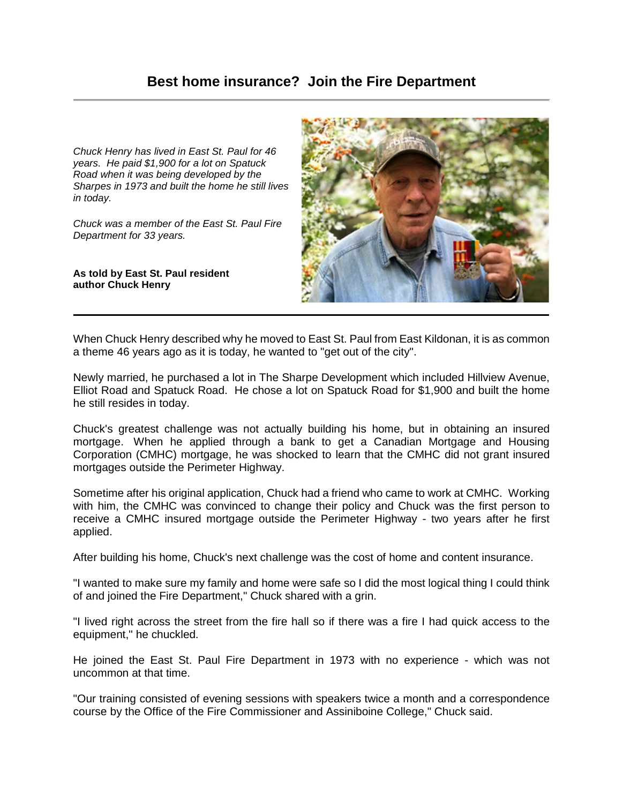*Chuck Henry has lived in East St. Paul for 46 years. He paid \$1,900 for a lot on Spatuck Road when it was being developed by the Sharpes in 1973 and built the home he still lives in today.* 

*Chuck was a member of the East St. Paul Fire Department for 33 years.*

**As told by East St. Paul resident author Chuck Henry**



When Chuck Henry described why he moved to East St. Paul from East Kildonan, it is as common a theme 46 years ago as it is today, he wanted to "get out of the city".

Newly married, he purchased a lot in The Sharpe Development which included Hillview Avenue, Elliot Road and Spatuck Road. He chose a lot on Spatuck Road for \$1,900 and built the home he still resides in today.

Chuck's greatest challenge was not actually building his home, but in obtaining an insured mortgage. When he applied through a bank to get a Canadian Mortgage and Housing Corporation (CMHC) mortgage, he was shocked to learn that the CMHC did not grant insured mortgages outside the Perimeter Highway.

Sometime after his original application, Chuck had a friend who came to work at CMHC. Working with him, the CMHC was convinced to change their policy and Chuck was the first person to receive a CMHC insured mortgage outside the Perimeter Highway - two years after he first applied.

After building his home, Chuck's next challenge was the cost of home and content insurance.

"I wanted to make sure my family and home were safe so I did the most logical thing I could think of and joined the Fire Department," Chuck shared with a grin.

"I lived right across the street from the fire hall so if there was a fire I had quick access to the equipment," he chuckled.

He joined the East St. Paul Fire Department in 1973 with no experience - which was not uncommon at that time.

"Our training consisted of evening sessions with speakers twice a month and a correspondence course by the Office of the Fire Commissioner and Assiniboine College," Chuck said.